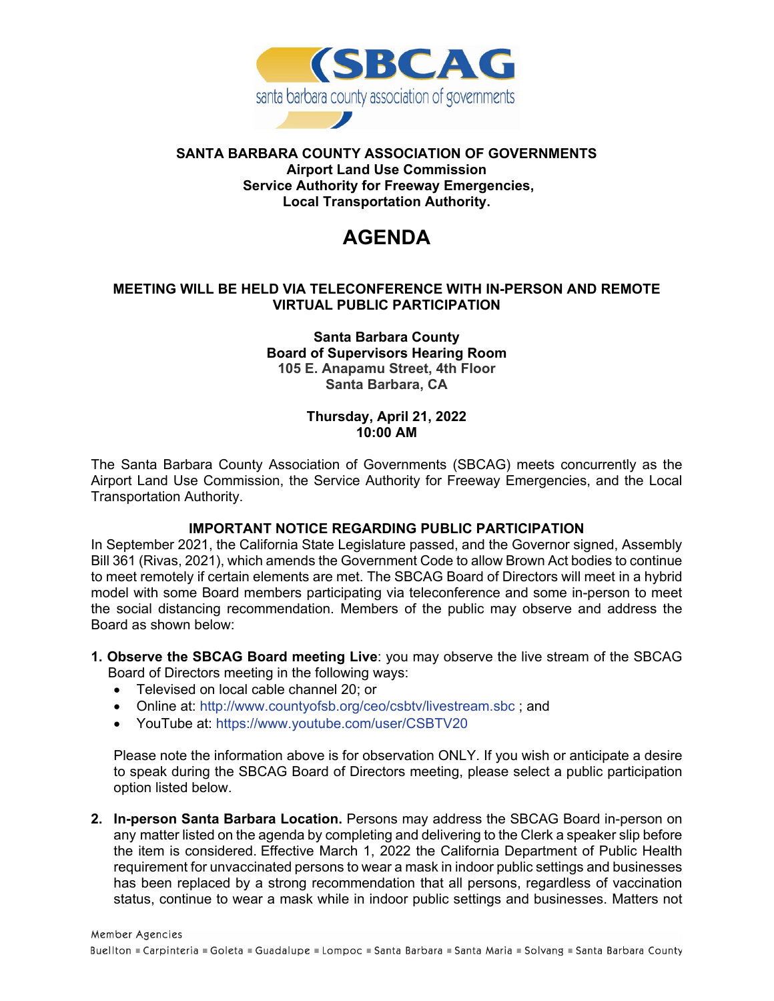

#### **SANTA BARBARA COUNTY ASSOCIATION OF GOVERNMENTS Airport Land Use Commission Service Authority for Freeway Emergencies, Local Transportation Authority.**

# **AGENDA**

### **MEETING WILL BE HELD VIA TELECONFERENCE WITH IN-PERSON AND REMOTE VIRTUAL PUBLIC PARTICIPATION**

#### **Santa Barbara County Board of Supervisors Hearing Room 105 E. Anapamu Street, 4th Floor Santa Barbara, CA**

#### **Thursday, April 21, 2022 10:00 AM**

The Santa Barbara County Association of Governments (SBCAG) meets concurrently as the Airport Land Use Commission, the Service Authority for Freeway Emergencies, and the Local Transportation Authority.

# **IMPORTANT NOTICE REGARDING PUBLIC PARTICIPATION**

In September 2021, the California State Legislature passed, and the Governor signed, Assembly Bill 361 (Rivas, 2021), which amends the Government Code to allow Brown Act bodies to continue to meet remotely if certain elements are met. The SBCAG Board of Directors will meet in a hybrid model with some Board members participating via teleconference and some in-person to meet the social distancing recommendation. Members of the public may observe and address the Board as shown below:

- **1. Observe the SBCAG Board meeting Live**: you may observe the live stream of the SBCAG Board of Directors meeting in the following ways:
	- Televised on local cable channel 20; or
	- Online at:<http://www.countyofsb.org/ceo/csbtv/livestream.sbc>; and
	- YouTube at:<https://www.youtube.com/user/CSBTV20>

Please note the information above is for observation ONLY. If you wish or anticipate a desire to speak during the SBCAG Board of Directors meeting, please select a public participation option listed below.

**2. In-person Santa Barbara Location.** Persons may address the SBCAG Board in-person on any matter listed on the agenda by completing and delivering to the Clerk a speaker slip before the item is considered. Effective March 1, 2022 the California Department of Public Health requirement for unvaccinated persons to wear a mask in indoor public settings and businesses has been replaced by a strong recommendation that all persons, regardless of vaccination status, continue to wear a mask while in indoor public settings and businesses. Matters not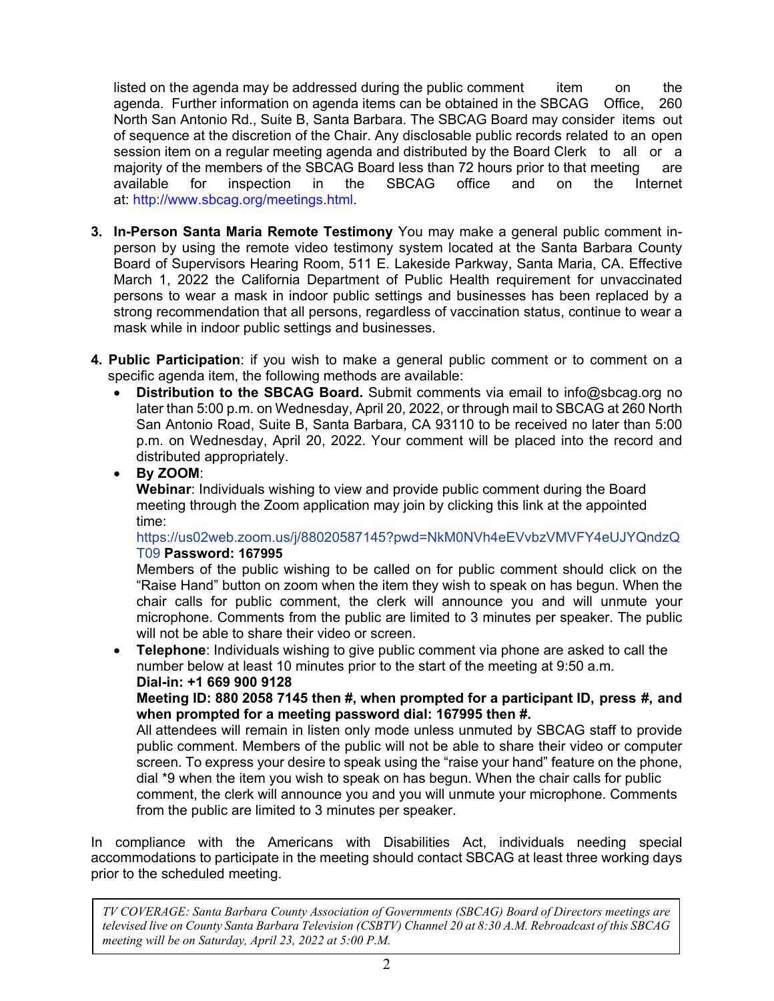listed on the agenda may be addressed during the public comment item on the agenda. Further information on agenda items can be obtained in the SBCAG Office, 260 North San Antonio Rd., Suite B, Santa Barbara. The SBCAG Board may consider items out of sequence at the discretion of the Chair. Any disclosable public records related to an open session item on a regular meeting agenda and distributed by the Board Clerk to all or a majority of the members of the SBCAG Board less than 72 hours prior to that meeting are available for inspection in the SBCAG office and on the Internet at: [http://www.sbcag.org/meetings.html.](http://www.sbcag.org/meetings.html)

- **3. In-Person Santa Maria Remote Testimony** You may make a general public comment inperson by using the remote video testimony system located at the Santa Barbara County Board of Supervisors Hearing Room, 511 E. Lakeside Parkway, Santa Maria, CA. Effective March 1, 2022 the California Department of Public Health requirement for unvaccinated persons to wear a mask in indoor public settings and businesses has been replaced by a strong recommendation that all persons, regardless of vaccination status, continue to wear a mask while in indoor public settings and businesses.
- **4. Public Participation**: if you wish to make a general public comment or to comment on a specific agenda item, the following methods are available:
	- **Distribution to the SBCAG Board.** Submit comments via email to info@sbcag.org no later than 5:00 p.m. on Wednesday, April 20, 2022, or through mail to SBCAG at 260 North San Antonio Road, Suite B, Santa Barbara, CA 93110 to be received no later than 5:00 p.m. on Wednesday, April 20, 2022. Your comment will be placed into the record and distributed appropriately.

• **By ZOOM**: **Webinar**: Individuals wishing to view and provide public comment during the Board meeting through the Zoom application may join by clicking this link at the appointed time:

[https://us02web.zoom.us/j/88020587145?pwd=NkM0NVh4eEVvbzVMVFY4eUJYQndzQ](https://us02web.zoom.us/j/88020587145?pwd=NkM0NVh4eEVvbzVMVFY4eUJYQndzQT09) [T09](https://us02web.zoom.us/j/88020587145?pwd=NkM0NVh4eEVvbzVMVFY4eUJYQndzQT09) **Password: 167995**

Members of the public wishing to be called on for public comment should click on the "Raise Hand" button on zoom when the item they wish to speak on has begun. When the chair calls for public comment, the clerk will announce you and will unmute your microphone. Comments from the public are limited to 3 minutes per speaker. The public will not be able to share their video or screen.

• **Telephone**: Individuals wishing to give public comment via phone are asked to call the number below at least 10 minutes prior to the start of the meeting at 9:50 a.m. **Dial-in: +1 669 900 9128** 

**Meeting ID: 880 2058 7145 then #, when prompted for a participant ID, press #, and when prompted for a meeting password dial: 167995 then #.** 

All attendees will remain in listen only mode unless unmuted by SBCAG staff to provide public comment. Members of the public will not be able to share their video or computer screen. To express your desire to speak using the "raise your hand" feature on the phone, dial \*9 when the item you wish to speak on has begun. When the chair calls for public comment, the clerk will announce you and you will unmute your microphone. Comments from the public are limited to 3 minutes per speaker.

In compliance with the Americans with Disabilities Act, individuals needing special accommodations to participate in the meeting should contact SBCAG at least three working days prior to the scheduled meeting.

*TV COVERAGE: Santa Barbara County Association of Governments (SBCAG) Board of Directors meetings are televised live on County Santa Barbara Television (CSBTV) Channel 20 at 8:30 A.M. Rebroadcast of this SBCAG meeting will be on Saturday, April 23, 2022 at 5:00 P.M.*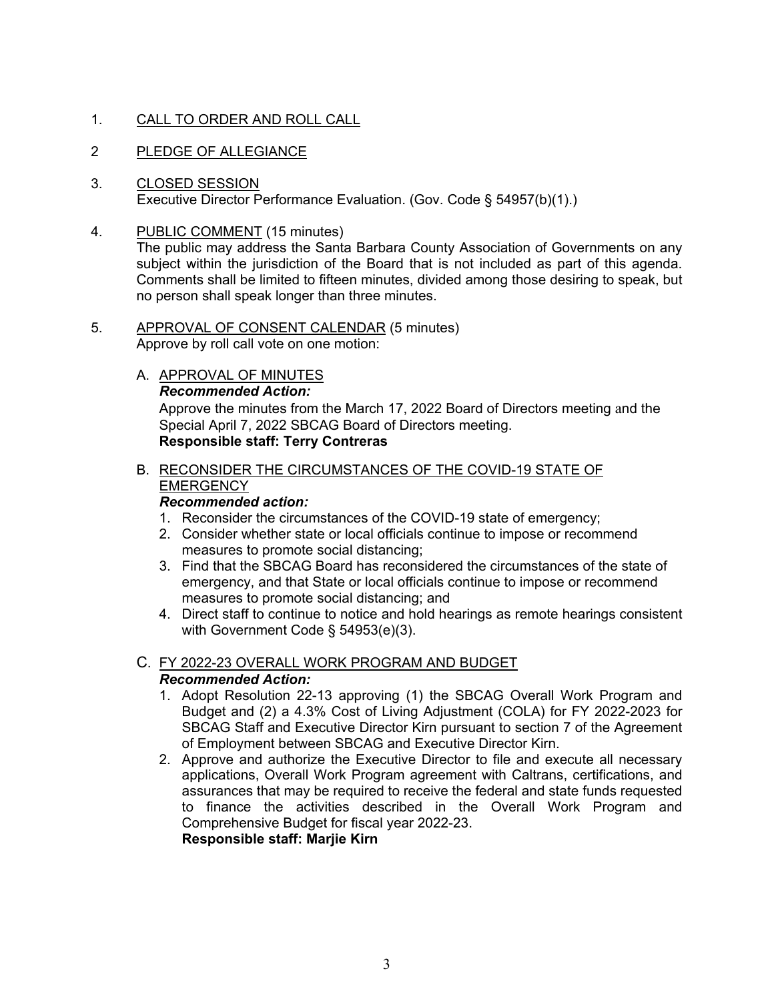# 1. CALL TO ORDER AND ROLL CALL

- 2 PLEDGE OF ALLEGIANCE
- 3. CLOSED SESSION Executive Director Performance Evaluation. (Gov. Code § 54957(b)(1).)
- 4. PUBLIC COMMENT (15 minutes)

The public may address the Santa Barbara County Association of Governments on any subject within the jurisdiction of the Board that is not included as part of this agenda. Comments shall be limited to fifteen minutes, divided among those desiring to speak, but no person shall speak longer than three minutes.

- 5. APPROVAL OF CONSENT CALENDAR (5 minutes) Approve by roll call vote on one motion:
	- A. APPROVAL OF MINUTES *Recommended Action:* Approve the minutes from the March 17, 2022 Board of Directors meeting and the Special April 7, 2022 SBCAG Board of Directors meeting. **Responsible staff: Terry Contreras**

# B. RECONSIDER THE CIRCUMSTANCES OF THE COVID-19 STATE OF **EMERGENCY**

### *Recommended action:*

- 1. Reconsider the circumstances of the COVID-19 state of emergency;
- 2. Consider whether state or local officials continue to impose or recommend measures to promote social distancing;
- 3. Find that the SBCAG Board has reconsidered the circumstances of the state of emergency, and that State or local officials continue to impose or recommend measures to promote social distancing; and
- 4. Direct staff to continue to notice and hold hearings as remote hearings consistent with Government Code § 54953(e)(3).

### C. FY 2022-23 OVERALL WORK PROGRAM AND BUDGET *Recommended Action:*

- 1. Adopt Resolution 22-13 approving (1) the SBCAG Overall Work Program and Budget and (2) a 4.3% Cost of Living Adjustment (COLA) for FY 2022-2023 for SBCAG Staff and Executive Director Kirn pursuant to section 7 of the Agreement of Employment between SBCAG and Executive Director Kirn.
- 2. Approve and authorize the Executive Director to file and execute all necessary applications, Overall Work Program agreement with Caltrans, certifications, and assurances that may be required to receive the federal and state funds requested to finance the activities described in the Overall Work Program and Comprehensive Budget for fiscal year 2022-23. **Responsible staff: Marjie Kirn**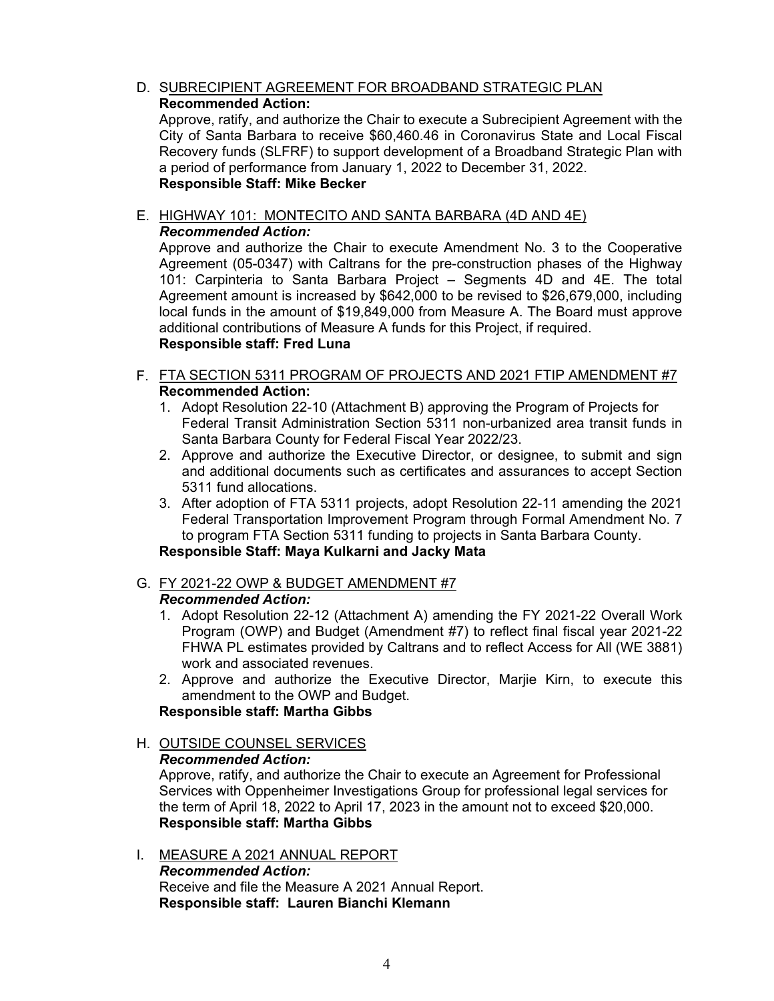D. SUBRECIPIENT AGREEMENT FOR BROADBAND STRATEGIC PLAN **Recommended Action:**

Approve, ratify, and authorize the Chair to execute a Subrecipient Agreement with the City of Santa Barbara to receive \$60,460.46 in Coronavirus State and Local Fiscal Recovery funds (SLFRF) to support development of a Broadband Strategic Plan with a period of performance from January 1, 2022 to December 31, 2022. **Responsible Staff: Mike Becker**

E. HIGHWAY 101: MONTECITO AND SANTA BARBARA (4D AND 4E) *Recommended Action:*

Approve and authorize the Chair to execute Amendment No. 3 to the Cooperative Agreement (05-0347) with Caltrans for the pre-construction phases of the Highway 101: Carpinteria to Santa Barbara Project – Segments 4D and 4E. The total Agreement amount is increased by \$642,000 to be revised to \$26,679,000, including local funds in the amount of \$19,849,000 from Measure A. The Board must approve additional contributions of Measure A funds for this Project, if required. **Responsible staff: Fred Luna**

- F. FTA SECTION 5311 PROGRAM OF PROJECTS AND 2021 FTIP AMENDMENT #7 **Recommended Action:**
	- 1. Adopt Resolution 22-10 (Attachment B) approving the Program of Projects for Federal Transit Administration Section 5311 non-urbanized area transit funds in Santa Barbara County for Federal Fiscal Year 2022/23.
	- 2. Approve and authorize the Executive Director, or designee, to submit and sign and additional documents such as certificates and assurances to accept Section 5311 fund allocations.
	- 3. After adoption of FTA 5311 projects, adopt Resolution 22-11 amending the 2021 Federal Transportation Improvement Program through Formal Amendment No. 7 to program FTA Section 5311 funding to projects in Santa Barbara County. **Responsible Staff: Maya Kulkarni and Jacky Mata**
- G. FY 2021-22 OWP & BUDGET AMENDMENT #7

*Recommended Action:*

- 1. Adopt Resolution 22-12 (Attachment A) amending the FY 2021-22 Overall Work Program (OWP) and Budget (Amendment #7) to reflect final fiscal year 2021-22 FHWA PL estimates provided by Caltrans and to reflect Access for All (WE 3881) work and associated revenues.
- 2. Approve and authorize the Executive Director, Marjie Kirn, to execute this amendment to the OWP and Budget.

# **Responsible staff: Martha Gibbs**

H. OUTSIDE COUNSEL SERVICES *Recommended Action:* Approve, ratify, and authorize the Chair to execute an Agreement for Professional Services with Oppenheimer Investigations Group for professional legal services for the term of April 18, 2022 to April 17, 2023 in the amount not to exceed \$20,000. **Responsible staff: Martha Gibbs**

I. MEASURE A 2021 ANNUAL REPORT *Recommended Action:* Receive and file the Measure A 2021 Annual Report. **Responsible staff: Lauren Bianchi Klemann**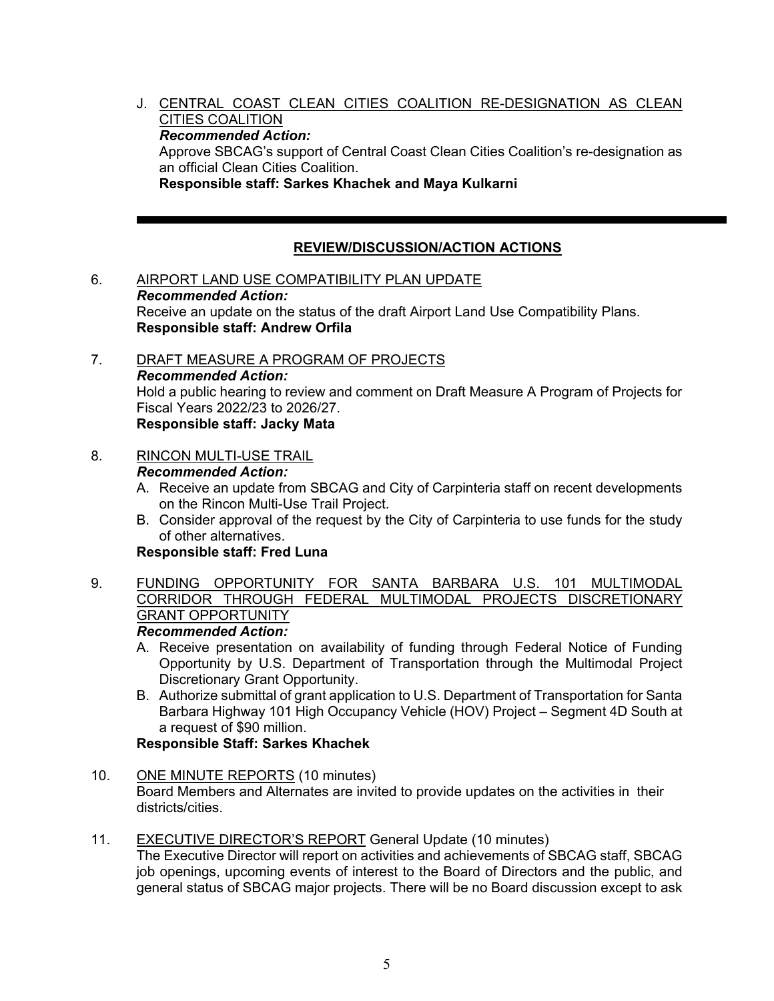J. CENTRAL COAST CLEAN CITIES COALITION RE-DESIGNATION AS CLEAN CITIES COALITION *Recommended Action:*  Approve SBCAG's support of Central Coast Clean Cities Coalition's re-designation as an official Clean Cities Coalition. **Responsible staff: Sarkes Khachek and Maya Kulkarni**

### **REVIEW/DISCUSSION/ACTION ACTIONS**

- 6. AIRPORT LAND USE COMPATIBILITY PLAN UPDATE *Recommended Action:* Receive an update on the status of the draft Airport Land Use Compatibility Plans. **Responsible staff: Andrew Orfila**
- 7. DRAFT MEASURE A PROGRAM OF PROJECTS *Recommended Action:* Hold a public hearing to review and comment on Draft Measure A Program of Projects for Fiscal Years 2022/23 to 2026/27. **Responsible staff: Jacky Mata**

# 8. RINCON MULTI-USE TRAIL

#### *Recommended Action:*

- A. Receive an update from SBCAG and City of Carpinteria staff on recent developments on the Rincon Multi-Use Trail Project.
- B. Consider approval of the request by the City of Carpinteria to use funds for the study of other alternatives.

#### **Responsible staff: Fred Luna**

9. FUNDING OPPORTUNITY FOR SANTA BARBARA U.S. 101 MULTIMODAL CORRIDOR THROUGH FEDERAL MULTIMODAL PROJECTS DISCRETIONARY GRANT OPPORTUNITY

# *Recommended Action:*

- A. Receive presentation on availability of funding through Federal Notice of Funding Opportunity by U.S. Department of Transportation through the Multimodal Project Discretionary Grant Opportunity.
- B. Authorize submittal of grant application to U.S. Department of Transportation for Santa Barbara Highway 101 High Occupancy Vehicle (HOV) Project – Segment 4D South at a request of \$90 million.

# **Responsible Staff: Sarkes Khachek**

10. ONE MINUTE REPORTS (10 minutes)

Board Members and Alternates are invited to provide updates on the activities in their districts/cities.

11. EXECUTIVE DIRECTOR'S REPORT General Update (10 minutes)

The Executive Director will report on activities and achievements of SBCAG staff, SBCAG job openings, upcoming events of interest to the Board of Directors and the public, and general status of SBCAG major projects. There will be no Board discussion except to ask